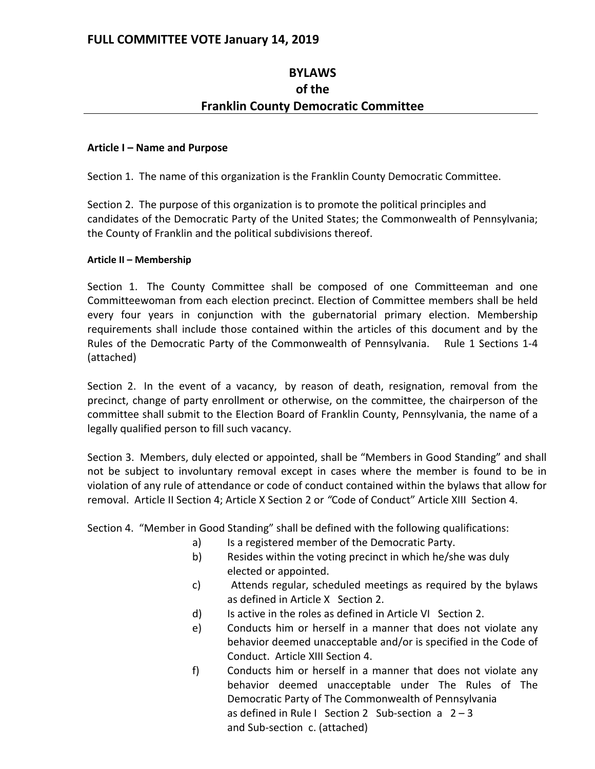# **BYLAWS of the Franklin County Democratic Committee**

## **Article I – Name and Purpose**

Section 1. The name of this organization is the Franklin County Democratic Committee.

Section 2. The purpose of this organization is to promote the political principles and candidates of the Democratic Party of the United States; the Commonwealth of Pennsylvania; the County of Franklin and the political subdivisions thereof.

## **Article II – Membership**

Section 1. The County Committee shall be composed of one Committeeman and one Committeewoman from each election precinct. Election of Committee members shall be held every four years in conjunction with the gubernatorial primary election. Membership requirements shall include those contained within the articles of this document and by the Rules of the Democratic Party of the Commonwealth of Pennsylvania. Rule 1 Sections 1-4 (attached)

Section 2. In the event of a vacancy, by reason of death, resignation, removal from the precinct, change of party enrollment or otherwise, on the committee, the chairperson of the committee shall submit to the Election Board of Franklin County, Pennsylvania, the name of a legally qualified person to fill such vacancy.

Section 3. Members, duly elected or appointed, shall be "Members in Good Standing" and shall not be subject to involuntary removal except in cases where the member is found to be in violation of any rule of attendance or code of conduct contained within the bylaws that allow for removal. Article II Section 4; Article X Section 2 or *"*Code of Conduct" Article XIII Section 4.

Section 4. "Member in Good Standing" shall be defined with the following qualifications:

- a) Is a registered member of the Democratic Party.
- b) Resides within the voting precinct in which he/she was duly elected or appointed.
- c) Attends regular, scheduled meetings as required by the bylaws as defined in Article X Section 2.
- d) Is active in the roles as defined in Article VI Section 2.
- e) Conducts him or herself in a manner that does not violate any behavior deemed unacceptable and/or is specified in the Code of Conduct. Article XIII Section 4.
- f) Conducts him or herself in a manner that does not violate any behavior deemed unacceptable under The Rules of The Democratic Party of The Commonwealth of Pennsylvania as defined in Rule I Section 2 Sub-section a  $2 - 3$ and Sub-section c. (attached)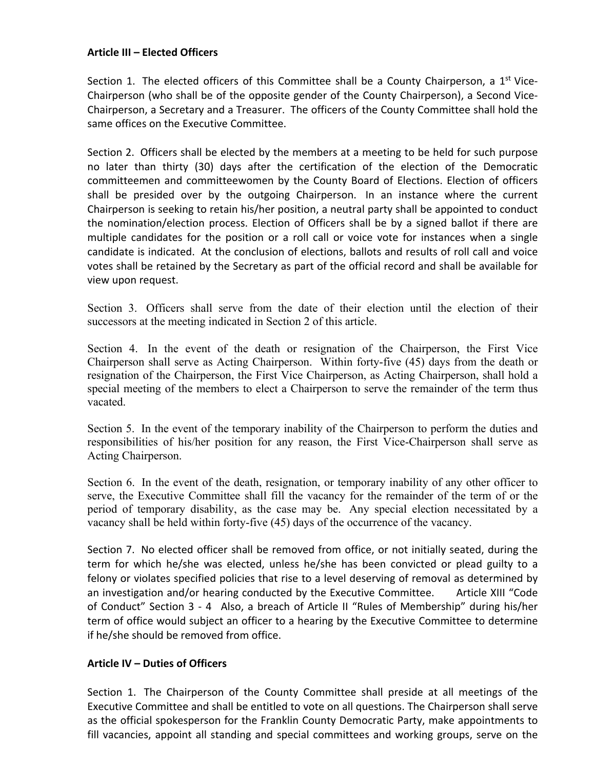## **Article III – Elected Officers**

Section 1. The elected officers of this Committee shall be a County Chairperson, a 1<sup>st</sup> Vice-Chairperson (who shall be of the opposite gender of the County Chairperson), a Second Vice-Chairperson, a Secretary and a Treasurer. The officers of the County Committee shall hold the same offices on the Executive Committee.

Section 2. Officers shall be elected by the members at a meeting to be held for such purpose no later than thirty (30) days after the certification of the election of the Democratic committeemen and committeewomen by the County Board of Elections. Election of officers shall be presided over by the outgoing Chairperson. In an instance where the current Chairperson is seeking to retain his/her position, a neutral party shall be appointed to conduct the nomination/election process. Election of Officers shall be by a signed ballot if there are multiple candidates for the position or a roll call or voice vote for instances when a single candidate is indicated. At the conclusion of elections, ballots and results of roll call and voice votes shall be retained by the Secretary as part of the official record and shall be available for view upon request.

Section 3. Officers shall serve from the date of their election until the election of their successors at the meeting indicated in Section 2 of this article.

Section 4. In the event of the death or resignation of the Chairperson, the First Vice Chairperson shall serve as Acting Chairperson. Within forty-five (45) days from the death or resignation of the Chairperson, the First Vice Chairperson, as Acting Chairperson, shall hold a special meeting of the members to elect a Chairperson to serve the remainder of the term thus vacated.

Section 5. In the event of the temporary inability of the Chairperson to perform the duties and responsibilities of his/her position for any reason, the First Vice-Chairperson shall serve as Acting Chairperson.

Section 6. In the event of the death, resignation, or temporary inability of any other officer to serve, the Executive Committee shall fill the vacancy for the remainder of the term of or the period of temporary disability, as the case may be. Any special election necessitated by a vacancy shall be held within forty-five (45) days of the occurrence of the vacancy.

Section 7. No elected officer shall be removed from office, or not initially seated, during the term for which he/she was elected, unless he/she has been convicted or plead guilty to a felony or violates specified policies that rise to a level deserving of removal as determined by an investigation and/or hearing conducted by the Executive Committee. Article XIII "Code of Conduct" Section 3 - 4 Also, a breach of Article II "Rules of Membership" during his/her term of office would subject an officer to a hearing by the Executive Committee to determine if he/she should be removed from office.

## **Article IV – Duties of Officers**

Section 1. The Chairperson of the County Committee shall preside at all meetings of the Executive Committee and shall be entitled to vote on all questions. The Chairperson shall serve as the official spokesperson for the Franklin County Democratic Party, make appointments to fill vacancies, appoint all standing and special committees and working groups, serve on the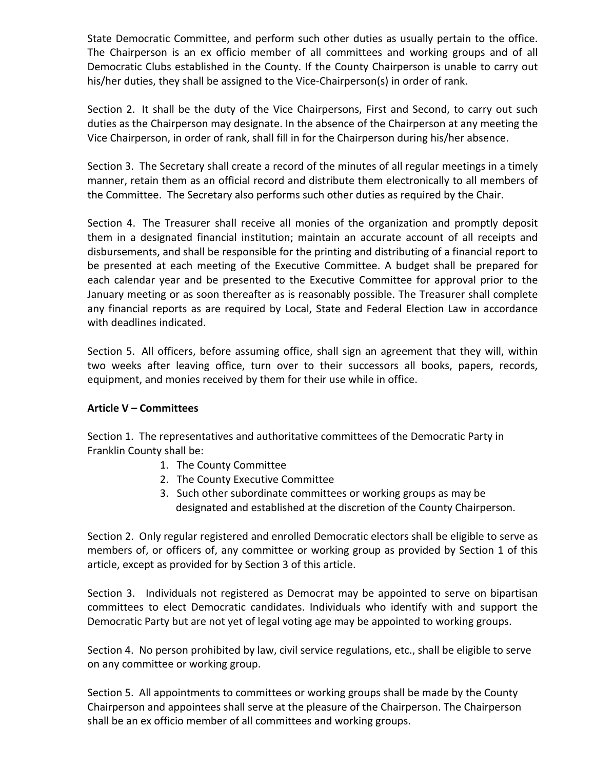State Democratic Committee, and perform such other duties as usually pertain to the office. The Chairperson is an ex officio member of all committees and working groups and of all Democratic Clubs established in the County. If the County Chairperson is unable to carry out his/her duties, they shall be assigned to the Vice-Chairperson(s) in order of rank.

Section 2. It shall be the duty of the Vice Chairpersons, First and Second, to carry out such duties as the Chairperson may designate. In the absence of the Chairperson at any meeting the Vice Chairperson, in order of rank, shall fill in for the Chairperson during his/her absence.

Section 3. The Secretary shall create a record of the minutes of all regular meetings in a timely manner, retain them as an official record and distribute them electronically to all members of the Committee. The Secretary also performs such other duties as required by the Chair.

Section 4. The Treasurer shall receive all monies of the organization and promptly deposit them in a designated financial institution; maintain an accurate account of all receipts and disbursements, and shall be responsible for the printing and distributing of a financial report to be presented at each meeting of the Executive Committee. A budget shall be prepared for each calendar year and be presented to the Executive Committee for approval prior to the January meeting or as soon thereafter as is reasonably possible. The Treasurer shall complete any financial reports as are required by Local, State and Federal Election Law in accordance with deadlines indicated.

Section 5. All officers, before assuming office, shall sign an agreement that they will, within two weeks after leaving office, turn over to their successors all books, papers, records, equipment, and monies received by them for their use while in office.

# **Article V – Committees**

Section 1. The representatives and authoritative committees of the Democratic Party in Franklin County shall be:

- 1. The County Committee
- 2. The County Executive Committee
- 3. Such other subordinate committees or working groups as may be designated and established at the discretion of the County Chairperson.

Section 2. Only regular registered and enrolled Democratic electors shall be eligible to serve as members of, or officers of, any committee or working group as provided by Section 1 of this article, except as provided for by Section 3 of this article.

Section 3. Individuals not registered as Democrat may be appointed to serve on bipartisan committees to elect Democratic candidates. Individuals who identify with and support the Democratic Party but are not yet of legal voting age may be appointed to working groups.

Section 4. No person prohibited by law, civil service regulations, etc., shall be eligible to serve on any committee or working group.

Section 5. All appointments to committees or working groups shall be made by the County Chairperson and appointees shall serve at the pleasure of the Chairperson. The Chairperson shall be an ex officio member of all committees and working groups.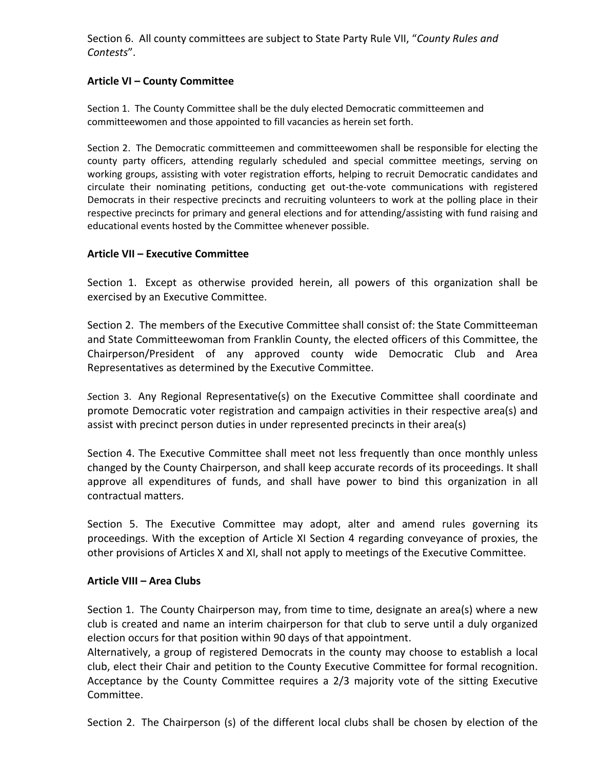Section 6. All county committees are subject to State Party Rule VII, "*County Rules and Contests*".

## **Article VI – County Committee**

Section 1. The County Committee shall be the duly elected Democratic committeemen and committeewomen and those appointed to fill vacancies as herein set forth.

Section 2. The Democratic committeemen and committeewomen shall be responsible for electing the county party officers, attending regularly scheduled and special committee meetings, serving on working groups, assisting with voter registration efforts, helping to recruit Democratic candidates and circulate their nominating petitions, conducting get out-the-vote communications with registered Democrats in their respective precincts and recruiting volunteers to work at the polling place in their respective precincts for primary and general elections and for attending/assisting with fund raising and educational events hosted by the Committee whenever possible.

## **Article VII – Executive Committee**

Section 1. Except as otherwise provided herein, all powers of this organization shall be exercised by an Executive Committee.

Section 2. The members of the Executive Committee shall consist of: the State Committeeman and State Committeewoman from Franklin County, the elected officers of this Committee, the Chairperson/President of any approved county wide Democratic Club and Area Representatives as determined by the Executive Committee.

*S*ection 3. Any Regional Representative(s) on the Executive Committee shall coordinate and promote Democratic voter registration and campaign activities in their respective area(s) and assist with precinct person duties in under represented precincts in their area(s)

Section 4. The Executive Committee shall meet not less frequently than once monthly unless changed by the County Chairperson, and shall keep accurate records of its proceedings. It shall approve all expenditures of funds, and shall have power to bind this organization in all contractual matters.

Section 5. The Executive Committee may adopt, alter and amend rules governing its proceedings. With the exception of Article XI Section 4 regarding conveyance of proxies, the other provisions of Articles X and XI, shall not apply to meetings of the Executive Committee.

## **Article VIII – Area Clubs**

Section 1. The County Chairperson may, from time to time, designate an area(s) where a new club is created and name an interim chairperson for that club to serve until a duly organized election occurs for that position within 90 days of that appointment.

Alternatively, a group of registered Democrats in the county may choose to establish a local club, elect their Chair and petition to the County Executive Committee for formal recognition. Acceptance by the County Committee requires a 2/3 majority vote of the sitting Executive Committee.

Section 2. The Chairperson (s) of the different local clubs shall be chosen by election of the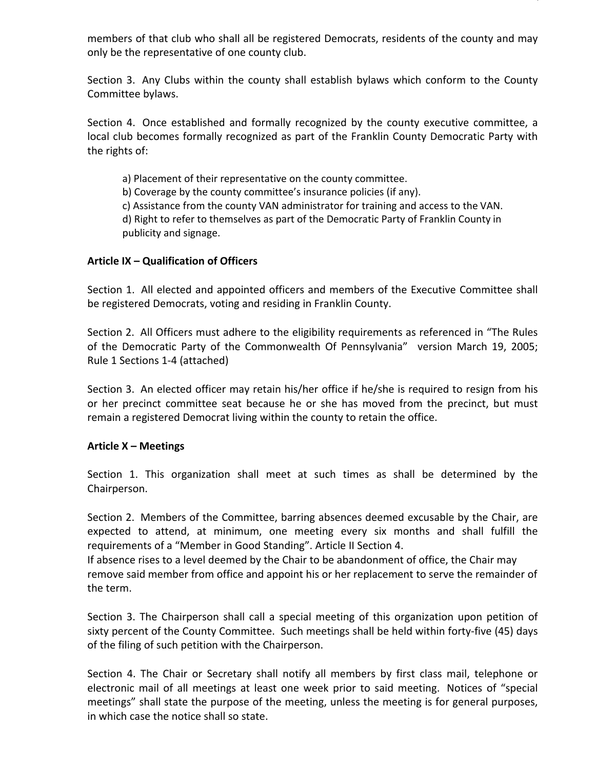members of that club who shall all be registered Democrats, residents of the county and may only be the representative of one county club.

Section 3. Any Clubs within the county shall establish bylaws which conform to the County Committee bylaws.

Section 4. Once established and formally recognized by the county executive committee, a local club becomes formally recognized as part of the Franklin County Democratic Party with the rights of:

a) Placement of their representative on the county committee.

b) Coverage by the county committee's insurance policies (if any).

c) Assistance from the county VAN administrator for training and access to the VAN.

d) Right to refer to themselves as part of the Democratic Party of Franklin County in publicity and signage.

## **Article IX – Qualification of Officers**

Section 1. All elected and appointed officers and members of the Executive Committee shall be registered Democrats, voting and residing in Franklin County.

Section 2. All Officers must adhere to the eligibility requirements as referenced in "The Rules of the Democratic Party of the Commonwealth Of Pennsylvania" version March 19, 2005; Rule 1 Sections 1-4 (attached)

Section 3. An elected officer may retain his/her office if he/she is required to resign from his or her precinct committee seat because he or she has moved from the precinct, but must remain a registered Democrat living within the county to retain the office.

## **Article X – Meetings**

Section 1. This organization shall meet at such times as shall be determined by the Chairperson.

Section 2. Members of the Committee, barring absences deemed excusable by the Chair, are expected to attend, at minimum, one meeting every six months and shall fulfill the requirements of a "Member in Good Standing". Article II Section 4.

If absence rises to a level deemed by the Chair to be abandonment of office, the Chair may remove said member from office and appoint his or her replacement to serve the remainder of the term.

Section 3. The Chairperson shall call a special meeting of this organization upon petition of sixty percent of the County Committee. Such meetings shall be held within forty-five (45) days of the filing of such petition with the Chairperson.

Section 4. The Chair or Secretary shall notify all members by first class mail, telephone or electronic mail of all meetings at least one week prior to said meeting. Notices of "special meetings" shall state the purpose of the meeting, unless the meeting is for general purposes, in which case the notice shall so state.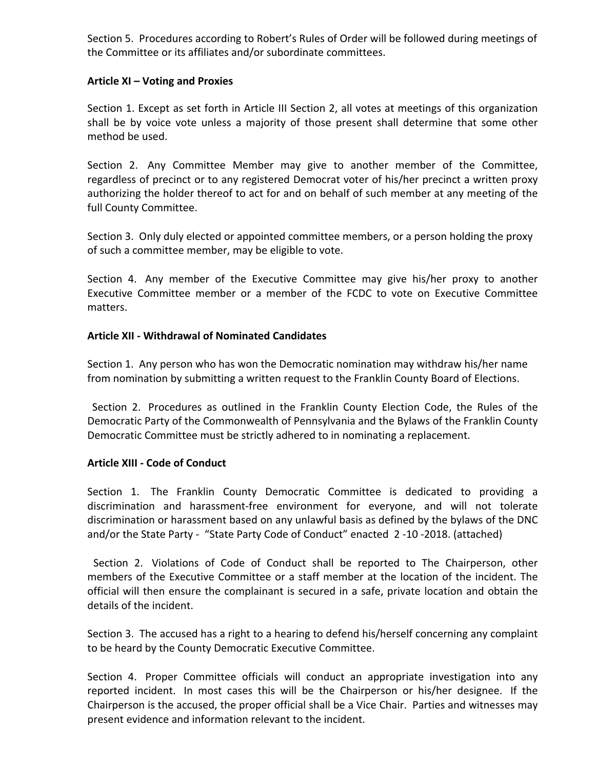Section 5. Procedures according to Robert's Rules of Order will be followed during meetings of the Committee or its affiliates and/or subordinate committees.

## **Article XI – Voting and Proxies**

Section 1. Except as set forth in Article III Section 2, all votes at meetings of this organization shall be by voice vote unless a majority of those present shall determine that some other method be used.

Section 2. Any Committee Member may give to another member of the Committee, regardless of precinct or to any registered Democrat voter of his/her precinct a written proxy authorizing the holder thereof to act for and on behalf of such member at any meeting of the full County Committee.

Section 3. Only duly elected or appointed committee members, or a person holding the proxy of such a committee member, may be eligible to vote.

Section 4. Any member of the Executive Committee may give his/her proxy to another Executive Committee member or a member of the FCDC to vote on Executive Committee matters.

## **Article XII - Withdrawal of Nominated Candidates**

Section 1. Any person who has won the Democratic nomination may withdraw his/her name from nomination by submitting a written request to the Franklin County Board of Elections.

Section 2. Procedures as outlined in the Franklin County Election Code, the Rules of the Democratic Party of the Commonwealth of Pennsylvania and the Bylaws of the Franklin County Democratic Committee must be strictly adhered to in nominating a replacement.

# **Article XIII - Code of Conduct**

Section 1. The Franklin County Democratic Committee is dedicated to providing a discrimination and harassment-free environment for everyone, and will not tolerate discrimination or harassment based on any unlawful basis as defined by the bylaws of the DNC and/or the State Party - "State Party Code of Conduct" enacted 2 -10 -2018. (attached)

Section 2. Violations of Code of Conduct shall be reported to The Chairperson, other members of the Executive Committee or a staff member at the location of the incident. The official will then ensure the complainant is secured in a safe, private location and obtain the details of the incident.

Section 3. The accused has a right to a hearing to defend his/herself concerning any complaint to be heard by the County Democratic Executive Committee.

Section 4. Proper Committee officials will conduct an appropriate investigation into any reported incident. In most cases this will be the Chairperson or his/her designee. If the Chairperson is the accused, the proper official shall be a Vice Chair. Parties and witnesses may present evidence and information relevant to the incident.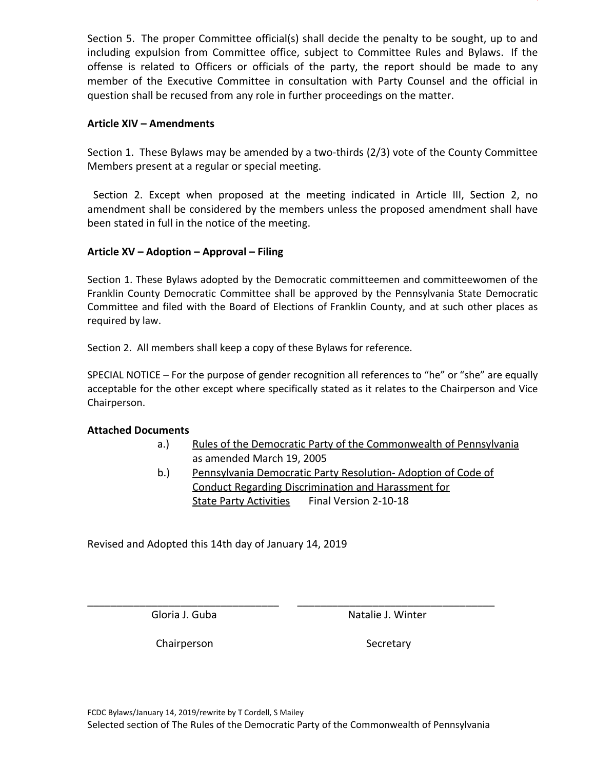Section 5. The proper Committee official(s) shall decide the penalty to be sought, up to and including expulsion from Committee office, subject to Committee Rules and Bylaws. If the offense is related to Officers or officials of the party, the report should be made to any member of the Executive Committee in consultation with Party Counsel and the official in question shall be recused from any role in further proceedings on the matter.

## **Article XIV – Amendments**

Section 1. These Bylaws may be amended by a two-thirds (2/3) vote of the County Committee Members present at a regular or special meeting.

Section 2. Except when proposed at the meeting indicated in Article III, Section 2, no amendment shall be considered by the members unless the proposed amendment shall have been stated in full in the notice of the meeting.

# **Article XV – Adoption – Approval – Filing**

Section 1. These Bylaws adopted by the Democratic committeemen and committeewomen of the Franklin County Democratic Committee shall be approved by the Pennsylvania State Democratic Committee and filed with the Board of Elections of Franklin County, and at such other places as required by law.

Section 2. All members shall keep a copy of these Bylaws for reference.

SPECIAL NOTICE – For the purpose of gender recognition all references to "he" or "she" are equally acceptable for the other except where specifically stated as it relates to the Chairperson and Vice Chairperson.

## **Attached Documents**

- a.) Rules of the Democratic Party of the Commonwealth of Pennsylvania as amended March 19, 2005
- b.) Pennsylvania Democratic Party Resolution-Adoption of Code of Conduct Regarding Discrimination and Harassment for State Party Activities Final Version 2-10-18

Revised and Adopted this 14th day of January 14, 2019

Gloria J. Guba Natalie J. Winter

Chairperson Secretary

\_\_\_\_\_\_\_\_\_\_\_\_\_\_\_\_\_\_\_\_\_\_\_\_\_\_\_\_\_\_\_\_\_ \_\_\_\_\_\_\_\_\_\_\_\_\_\_\_\_\_\_\_\_\_\_\_\_\_\_\_\_\_\_\_\_\_\_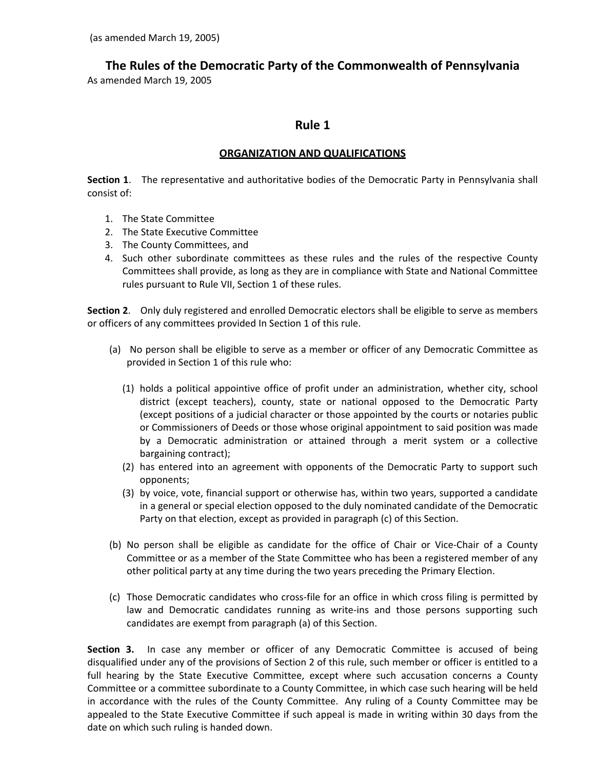**The Rules of the Democratic Party of the Commonwealth of Pennsylvania**

As amended March 19, 2005

# **Rule 1**

## **ORGANIZATION AND QUALIFICATIONS**

**Section 1**. The representative and authoritative bodies of the Democratic Party in Pennsylvania shall consist of:

- 1. The State Committee
- 2. The State Executive Committee
- 3. The County Committees, and
- 4. Such other subordinate committees as these rules and the rules of the respective County Committees shall provide, as long as they are in compliance with State and National Committee rules pursuant to Rule VII, Section 1 of these rules.

**Section 2**. Only duly registered and enrolled Democratic electors shall be eligible to serve as members or officers of any committees provided In Section 1 of this rule.

- (a) No person shall be eligible to serve as a member or officer of any Democratic Committee as provided in Section 1 of this rule who:
	- (1) holds a political appointive office of profit under an administration, whether city, school district (except teachers), county, state or national opposed to the Democratic Party (except positions of a judicial character or those appointed by the courts or notaries public or Commissioners of Deeds or those whose original appointment to said position was made by a Democratic administration or attained through a merit system or a collective bargaining contract);
	- (2) has entered into an agreement with opponents of the Democratic Party to support such opponents;
	- (3) by voice, vote, financial support or otherwise has, within two years, supported a candidate in a general or special election opposed to the duly nominated candidate of the Democratic Party on that election, except as provided in paragraph (c) of this Section.
- (b) No person shall be eligible as candidate for the office of Chair or Vice-Chair of a County Committee or as a member of the State Committee who has been a registered member of any other political party at any time during the two years preceding the Primary Election.
- (c) Those Democratic candidates who cross-file for an office in which cross filing is permitted by law and Democratic candidates running as write-ins and those persons supporting such candidates are exempt from paragraph (a) of this Section.

**Section 3.** In case any member or officer of any Democratic Committee is accused of being disqualified under any of the provisions of Section 2 of this rule, such member or officer is entitled to a full hearing by the State Executive Committee, except where such accusation concerns a County Committee or a committee subordinate to a County Committee, in which case such hearing will be held in accordance with the rules of the County Committee. Any ruling of a County Committee may be appealed to the State Executive Committee if such appeal is made in writing within 30 days from the date on which such ruling is handed down.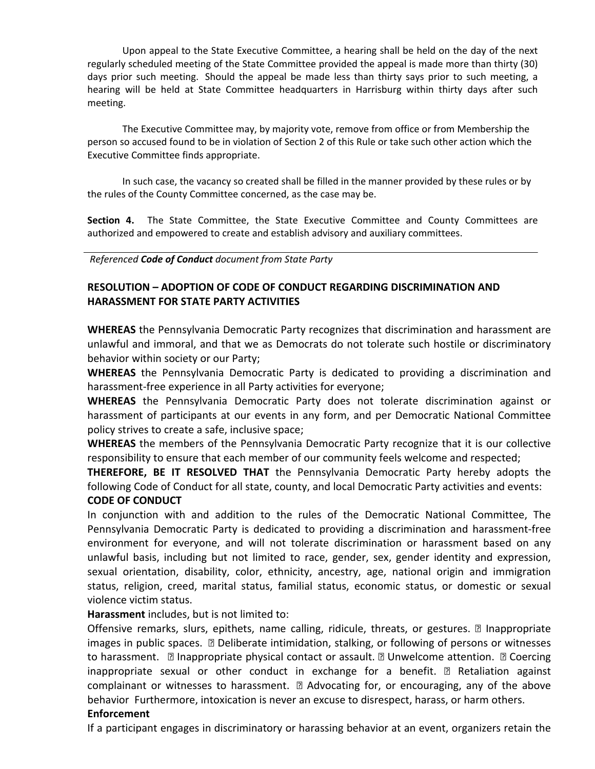Upon appeal to the State Executive Committee, a hearing shall be held on the day of the next regularly scheduled meeting of the State Committee provided the appeal is made more than thirty (30) days prior such meeting. Should the appeal be made less than thirty says prior to such meeting, a hearing will be held at State Committee headquarters in Harrisburg within thirty days after such meeting.

The Executive Committee may, by majority vote, remove from office or from Membership the person so accused found to be in violation of Section 2 of this Rule or take such other action which the Executive Committee finds appropriate.

In such case, the vacancy so created shall be filled in the manner provided by these rules or by the rules of the County Committee concerned, as the case may be.

**Section 4.** The State Committee, the State Executive Committee and County Committees are authorized and empowered to create and establish advisory and auxiliary committees.

*Referenced Code of Conduct document from State Party*

# **RESOLUTION – ADOPTION OF CODE OF CONDUCT REGARDING DISCRIMINATION AND HARASSMENT FOR STATE PARTY ACTIVITIES**

**WHEREAS** the Pennsylvania Democratic Party recognizes that discrimination and harassment are unlawful and immoral, and that we as Democrats do not tolerate such hostile or discriminatory behavior within society or our Party;

**WHEREAS** the Pennsylvania Democratic Party is dedicated to providing a discrimination and harassment-free experience in all Party activities for everyone;

**WHEREAS** the Pennsylvania Democratic Party does not tolerate discrimination against or harassment of participants at our events in any form, and per Democratic National Committee policy strives to create a safe, inclusive space;

**WHEREAS** the members of the Pennsylvania Democratic Party recognize that it is our collective responsibility to ensure that each member of our community feels welcome and respected;

**THEREFORE, BE IT RESOLVED THAT** the Pennsylvania Democratic Party hereby adopts the following Code of Conduct for all state, county, and local Democratic Party activities and events: **CODE OF CONDUCT**

In conjunction with and addition to the rules of the Democratic National Committee, The Pennsylvania Democratic Party is dedicated to providing a discrimination and harassment-free environment for everyone, and will not tolerate discrimination or harassment based on any unlawful basis, including but not limited to race, gender, sex, gender identity and expression, sexual orientation, disability, color, ethnicity, ancestry, age, national origin and immigration status, religion, creed, marital status, familial status, economic status, or domestic or sexual violence victim status.

**Harassment** includes, but is not limited to:

Offensive remarks, slurs, epithets, name calling, ridicule, threats, or gestures.  $\mathbb D$  Inappropriate images in public spaces.  $\Box$  Deliberate intimidation, stalking, or following of persons or witnesses to harassment.  $\Box$  Inappropriate physical contact or assault.  $\Box$  Unwelcome attention.  $\Box$  Coercing inappropriate sexual or other conduct in exchange for a benefit.  $\mathbb D$  Retaliation against complainant or witnesses to harassment.  $\mathbb D$  Advocating for, or encouraging, any of the above behavior Furthermore, intoxication is never an excuse to disrespect, harass, or harm others.

## **Enforcement**

If a participant engages in discriminatory or harassing behavior at an event, organizers retain the